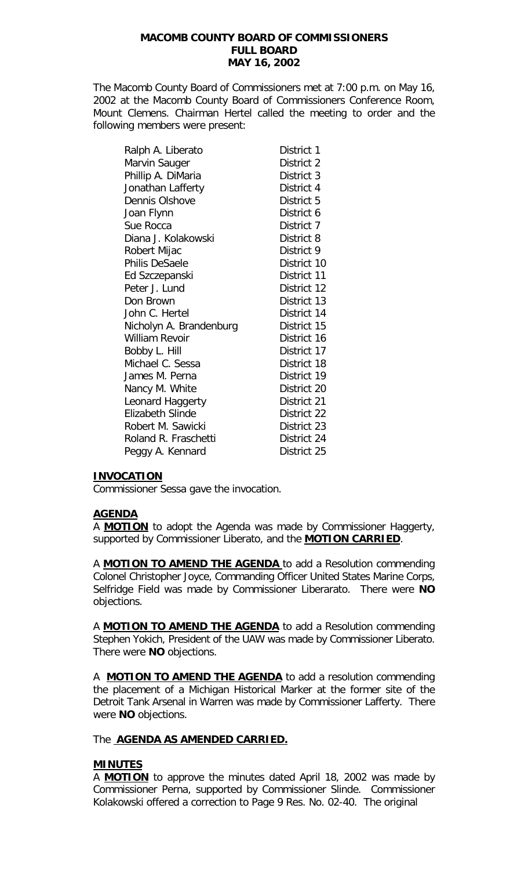The Macomb County Board of Commissioners met at 7:00 p.m. on May 16, 2002 at the Macomb County Board of Commissioners Conference Room, Mount Clemens. Chairman Hertel called the meeting to order and the following members were present:

| Ralph A. Liberato       | District 1  |
|-------------------------|-------------|
| Marvin Sauger           | District 2  |
| Phillip A. DiMaria      | District 3  |
| Jonathan Lafferty       | District 4  |
| Dennis Olshove          | District 5  |
| Joan Flynn              | District 6  |
| Sue Rocca               | District 7  |
| Diana J. Kolakowski     | District 8  |
| Robert Mijac            | District 9  |
| Philis DeSaele          | District 10 |
| Ed Szczepanski          | District 11 |
| Peter J. Lund           | District 12 |
| Don Brown               | District 13 |
| John C. Hertel          | District 14 |
| Nicholyn A. Brandenburg | District 15 |
| William Revoir          | District 16 |
| Bobby L. Hill           | District 17 |
| Michael C. Sessa        | District 18 |
| James M. Perna          | District 19 |
| Nancy M. White          | District 20 |
| Leonard Haggerty        | District 21 |
| Elizabeth Slinde        | District 22 |
| Robert M. Sawicki       | District 23 |
| Roland R. Fraschetti    | District 24 |
| Peggy A. Kennard        | District 25 |

# **INVOCATION**

Commissioner Sessa gave the invocation.

## **AGENDA**

A **MOTION** to adopt the Agenda was made by Commissioner Haggerty, supported by Commissioner Liberato, and the **MOTION CARRIED**.

A **MOTION TO AMEND THE AGENDA** to add a Resolution commending Colonel Christopher Joyce, Commanding Officer United States Marine Corps, Selfridge Field was made by Commissioner Liberarato. There were **NO** objections.

A **MOTION TO AMEND THE AGENDA** to add a Resolution commending Stephen Yokich, President of the UAW was made by Commissioner Liberato. There were **NO** objections.

A **MOTION TO AMEND THE AGENDA** to add a resolution commending the placement of a Michigan Historical Marker at the former site of the Detroit Tank Arsenal in Warren was made by Commissioner Lafferty. There were **NO** objections.

## The **AGENDA AS AMENDED CARRIED.**

## **MINUTES**

A **MOTION** to approve the minutes dated April 18, 2002 was made by Commissioner Perna, supported by Commissioner Slinde. Commissioner Kolakowski offered a correction to Page 9 Res. No. 02-40. The original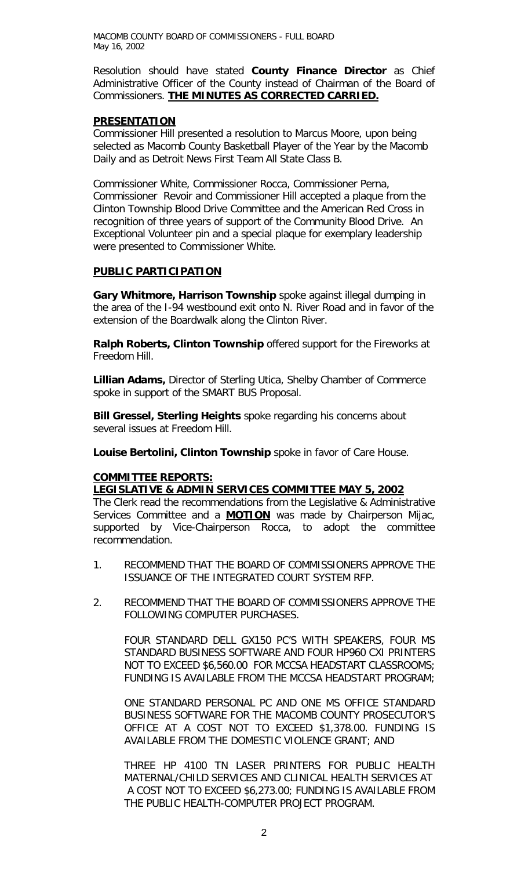Resolution should have stated **County Finance Director** as Chief Administrative Officer of the County instead of Chairman of the Board of Commissioners. **THE MINUTES AS CORRECTED CARRIED.**

### **PRESENTATION**

Commissioner Hill presented a resolution to Marcus Moore, upon being selected as Macomb County Basketball Player of the Year by the Macomb Daily and as Detroit News First Team All State Class B.

Commissioner White, Commissioner Rocca, Commissioner Perna, Commissioner Revoir and Commissioner Hill accepted a plaque from the Clinton Township Blood Drive Committee and the American Red Cross in recognition of three years of support of the Community Blood Drive. An Exceptional Volunteer pin and a special plaque for exemplary leadership were presented to Commissioner White.

## **PUBLIC PARTICIPATION**

**Gary Whitmore, Harrison Township** spoke against illegal dumping in the area of the I-94 westbound exit onto N. River Road and in favor of the extension of the Boardwalk along the Clinton River.

**Ralph Roberts, Clinton Township** offered support for the Fireworks at Freedom Hill.

**Lillian Adams,** Director of Sterling Utica, Shelby Chamber of Commerce spoke in support of the SMART BUS Proposal.

**Bill Gressel, Sterling Heights** spoke regarding his concerns about several issues at Freedom Hill.

**Louise Bertolini, Clinton Township** spoke in favor of Care House.

## **COMMITTEE REPORTS:**

## *LEGISLATIVE & ADMIN SERVICES COMMITTEE MAY 5, 2002*

The Clerk read the recommendations from the Legislative & Administrative Services Committee and a **MOTION** was made by Chairperson Mijac, supported by Vice-Chairperson Rocca, to adopt the committee recommendation.

- 1. RECOMMEND THAT THE BOARD OF COMMISSIONERS APPROVE THE ISSUANCE OF THE INTEGRATED COURT SYSTEM RFP.
- 2. RECOMMEND THAT THE BOARD OF COMMISSIONERS APPROVE THE FOLLOWING COMPUTER PURCHASES.

FOUR STANDARD DELL GX150 PC'S WITH SPEAKERS, FOUR MS STANDARD BUSINESS SOFTWARE AND FOUR HP960 CXI PRINTERS NOT TO EXCEED \$6,560.00 FOR MCCSA HEADSTART CLASSROOMS; FUNDING IS AVAILABLE FROM THE MCCSA HEADSTART PROGRAM;

ONE STANDARD PERSONAL PC AND ONE MS OFFICE STANDARD BUSINESS SOFTWARE FOR THE MACOMB COUNTY PROSECUTOR'S OFFICE AT A COST NOT TO EXCEED \$1,378.00. FUNDING IS AVAILABLE FROM THE DOMESTIC VIOLENCE GRANT; AND

THREE HP 4100 TN LASER PRINTERS FOR PUBLIC HEALTH MATERNAL/CHILD SERVICES AND CLINICAL HEALTH SERVICES AT A COST NOT TO EXCEED \$6,273.00; FUNDING IS AVAILABLE FROM THE PUBLIC HEALTH-COMPUTER PROJECT PROGRAM.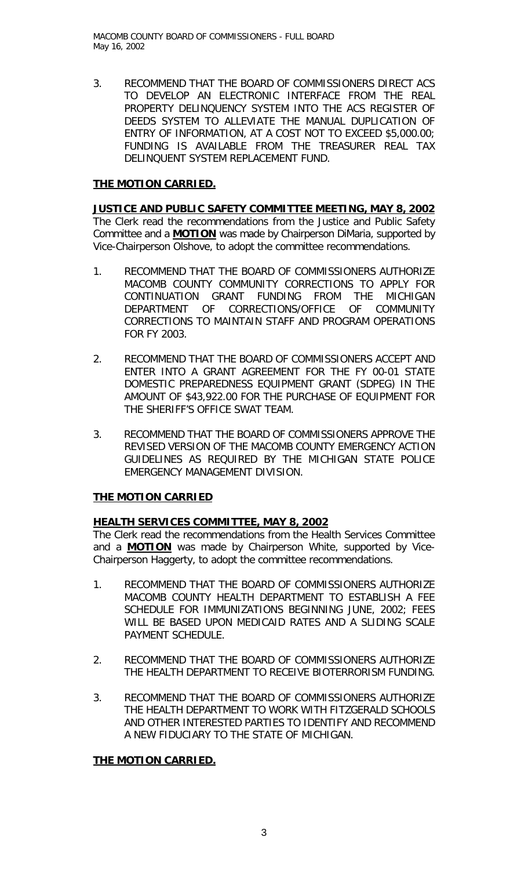3. RECOMMEND THAT THE BOARD OF COMMISSIONERS DIRECT ACS TO DEVELOP AN ELECTRONIC INTERFACE FROM THE REAL PROPERTY DELINQUENCY SYSTEM INTO THE ACS REGISTER OF DEEDS SYSTEM TO ALLEVIATE THE MANUAL DUPLICATION OF ENTRY OF INFORMATION, AT A COST NOT TO EXCEED \$5,000.00; FUNDING IS AVAILABLE FROM THE TREASURER REAL TAX DELINQUENT SYSTEM REPLACEMENT FUND.

# **THE MOTION CARRIED.**

*JUSTICE AND PUBLIC SAFETY COMMITTEE MEETING, MAY 8, 2002* The Clerk read the recommendations from the Justice and Public Safety Committee and a **MOTION** was made by Chairperson DiMaria, supported by Vice-Chairperson Olshove, to adopt the committee recommendations.

- 1. RECOMMEND THAT THE BOARD OF COMMISSIONERS AUTHORIZE MACOMB COUNTY COMMUNITY CORRECTIONS TO APPLY FOR CONTINUATION GRANT FUNDING FROM THE MICHIGAN DEPARTMENT OF CORRECTIONS/OFFICE OF COMMUNITY CORRECTIONS TO MAINTAIN STAFF AND PROGRAM OPERATIONS FOR FY 2003.
- 2. RECOMMEND THAT THE BOARD OF COMMISSIONERS ACCEPT AND ENTER INTO A GRANT AGREEMENT FOR THE FY 00-01 STATE DOMESTIC PREPAREDNESS EQUIPMENT GRANT (SDPEG) IN THE AMOUNT OF \$43,922.00 FOR THE PURCHASE OF EQUIPMENT FOR THE SHERIFF'S OFFICE SWAT TEAM.
- 3. RECOMMEND THAT THE BOARD OF COMMISSIONERS APPROVE THE REVISED VERSION OF THE MACOMB COUNTY EMERGENCY ACTION GUIDELINES AS REQUIRED BY THE MICHIGAN STATE POLICE EMERGENCY MANAGEMENT DIVISION.

## **THE MOTION CARRIED**

## **HEALTH SERVICES COMMITTEE, MAY 8, 2002**

The Clerk read the recommendations from the Health Services Committee and a **MOTION** was made by Chairperson White, supported by Vice-Chairperson Haggerty, to adopt the committee recommendations.

- 1. RECOMMEND THAT THE BOARD OF COMMISSIONERS AUTHORIZE MACOMB COUNTY HEALTH DEPARTMENT TO ESTABLISH A FEE SCHEDULE FOR IMMUNIZATIONS BEGINNING JUNE, 2002; FEES WILL BE BASED UPON MEDICAID RATES AND A SLIDING SCALE PAYMENT SCHEDULE.
- 2. RECOMMEND THAT THE BOARD OF COMMISSIONERS AUTHORIZE THE HEALTH DEPARTMENT TO RECEIVE BIOTERRORISM FUNDING.
- 3. RECOMMEND THAT THE BOARD OF COMMISSIONERS AUTHORIZE THE HEALTH DEPARTMENT TO WORK WITH FITZGERALD SCHOOLS AND OTHER INTERESTED PARTIES TO IDENTIFY AND RECOMMEND A NEW FIDUCIARY TO THE STATE OF MICHIGAN.

## **THE MOTION CARRIED.**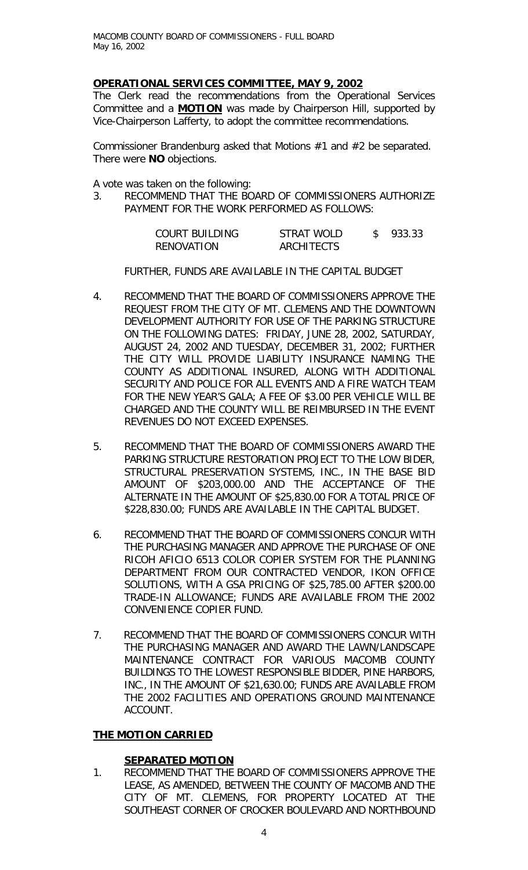# *OPERATIONAL SERVICES COMMITTEE, MAY 9, 2002*

The Clerk read the recommendations from the Operational Services Committee and a **MOTION** was made by Chairperson Hill, supported by Vice-Chairperson Lafferty, to adopt the committee recommendations.

Commissioner Brandenburg asked that Motions #1 and #2 be separated. There were **NO** objections.

A vote was taken on the following:

3. RECOMMEND THAT THE BOARD OF COMMISSIONERS AUTHORIZE PAYMENT FOR THE WORK PERFORMED AS FOLLOWS:

| COURT BUILDING | STRAT WOLD | 933.33 |
|----------------|------------|--------|
| RENOVATION     | ARCHITECTS |        |

FURTHER, FUNDS ARE AVAILABLE IN THE CAPITAL BUDGET

- 4. RECOMMEND THAT THE BOARD OF COMMISSIONERS APPROVE THE REQUEST FROM THE CITY OF MT. CLEMENS AND THE DOWNTOWN DEVELOPMENT AUTHORITY FOR USE OF THE PARKING STRUCTURE ON THE FOLLOWING DATES: FRIDAY, JUNE 28, 2002, SATURDAY, AUGUST 24, 2002 AND TUESDAY, DECEMBER 31, 2002; FURTHER THE CITY WILL PROVIDE LIABILITY INSURANCE NAMING THE COUNTY AS ADDITIONAL INSURED, ALONG WITH ADDITIONAL SECURITY AND POLICE FOR ALL EVENTS AND A FIRE WATCH TEAM FOR THE NEW YEAR'S GALA; A FEE OF \$3.00 PER VEHICLE WILL BE CHARGED AND THE COUNTY WILL BE REIMBURSED IN THE EVENT REVENUES DO NOT EXCEED EXPENSES.
- 5. RECOMMEND THAT THE BOARD OF COMMISSIONERS AWARD THE PARKING STRUCTURE RESTORATION PROJECT TO THE LOW BIDER, STRUCTURAL PRESERVATION SYSTEMS, INC., IN THE BASE BID AMOUNT OF \$203,000.00 AND THE ACCEPTANCE OF THE ALTERNATE IN THE AMOUNT OF \$25,830.00 FOR A TOTAL PRICE OF \$228,830.00; FUNDS ARE AVAILABLE IN THE CAPITAL BUDGET.
- 6. RECOMMEND THAT THE BOARD OF COMMISSIONERS CONCUR WITH THE PURCHASING MANAGER AND APPROVE THE PURCHASE OF ONE RICOH AFICIO 6513 COLOR COPIER SYSTEM FOR THE PLANNING DEPARTMENT FROM OUR CONTRACTED VENDOR, IKON OFFICE SOLUTIONS, WITH A GSA PRICING OF \$25,785.00 AFTER \$200.00 TRADE-IN ALLOWANCE; FUNDS ARE AVAILABLE FROM THE 2002 CONVENIENCE COPIER FUND.
- 7. RECOMMEND THAT THE BOARD OF COMMISSIONERS CONCUR WITH THE PURCHASING MANAGER AND AWARD THE LAWN/LANDSCAPE MAINTENANCE CONTRACT FOR VARIOUS MACOMB COUNTY BUILDINGS TO THE LOWEST RESPONSIBLE BIDDER, PINE HARBORS, INC., IN THE AMOUNT OF \$21,630.00; FUNDS ARE AVAILABLE FROM THE 2002 FACILITIES AND OPERATIONS GROUND MAINTENANCE ACCOUNT.

# **THE MOTION CARRIED**

## **SEPARATED MOTION**

1. RECOMMEND THAT THE BOARD OF COMMISSIONERS APPROVE THE LEASE, AS AMENDED, BETWEEN THE COUNTY OF MACOMB AND THE CITY OF MT. CLEMENS, FOR PROPERTY LOCATED AT THE SOUTHEAST CORNER OF CROCKER BOULEVARD AND NORTHBOUND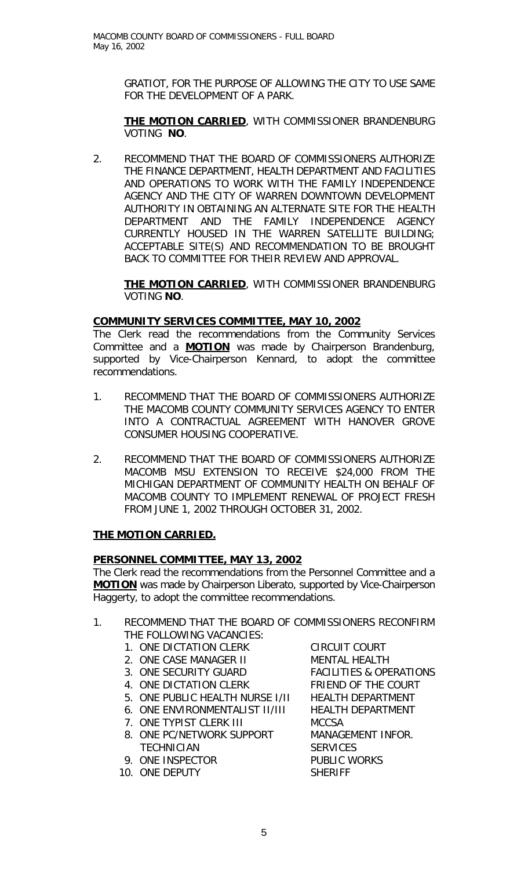GRATIOT, FOR THE PURPOSE OF ALLOWING THE CITY TO USE SAME FOR THE DEVELOPMENT OF A PARK.

## **THE MOTION CARRIED**, WITH COMMISSIONER BRANDENBURG VOTING **NO**.

2. RECOMMEND THAT THE BOARD OF COMMISSIONERS AUTHORIZE THE FINANCE DEPARTMENT, HEALTH DEPARTMENT AND FACILITIES AND OPERATIONS TO WORK WITH THE FAMILY INDEPENDENCE AGENCY AND THE CITY OF WARREN DOWNTOWN DEVELOPMENT AUTHORITY IN OBTAINING AN ALTERNATE SITE FOR THE HEALTH DEPARTMENT AND THE FAMILY INDEPENDENCE AGENCY CURRENTLY HOUSED IN THE WARREN SATELLITE BUILDING; ACCEPTABLE SITE(S) AND RECOMMENDATION TO BE BROUGHT BACK TO COMMITTEE FOR THEIR REVIEW AND APPROVAL.

**THE MOTION CARRIED**, WITH COMMISSIONER BRANDENBURG VOTING **NO**.

# *COMMUNITY SERVICES COMMITTEE, MAY 10, 2002*

The Clerk read the recommendations from the Community Services Committee and a **MOTION** was made by Chairperson Brandenburg, supported by Vice-Chairperson Kennard, to adopt the committee recommendations.

- 1. RECOMMEND THAT THE BOARD OF COMMISSIONERS AUTHORIZE THE MACOMB COUNTY COMMUNITY SERVICES AGENCY TO ENTER INTO A CONTRACTUAL AGREEMENT WITH HANOVER GROVE CONSUMER HOUSING COOPERATIVE.
- 2. RECOMMEND THAT THE BOARD OF COMMISSIONERS AUTHORIZE MACOMB MSU EXTENSION TO RECEIVE \$24,000 FROM THE MICHIGAN DEPARTMENT OF COMMUNITY HEALTH ON BEHALF OF MACOMB COUNTY TO IMPLEMENT RENEWAL OF PROJECT FRESH FROM JUNE 1, 2002 THROUGH OCTOBER 31, 2002.

# **THE MOTION CARRIED.**

# *PERSONNEL COMMITTEE, MAY 13, 2002*

The Clerk read the recommendations from the Personnel Committee and a **MOTION** was made by Chairperson Liberato, supported by Vice-Chairperson Haggerty, to adopt the committee recommendations.

- 1. RECOMMEND THAT THE BOARD OF COMMISSIONERS RECONFIRM THE FOLLOWING VACANCIES:
	- 1. ONE DICTATION CLERK CIRCUIT COURT
	- 2. ONE CASE MANAGER II MENTAL HEALTH
	-
	-
	- 5. ONE PUBLIC HEALTH NURSE I/II HEALTH DEPARTMENT
	-
	- 7. ONE TYPIST CLERK III MCCSA
	- 8. ONE PC/NETWORK SUPPORT MANAGEMENT INFOR. TECHNICIAN SERVICES
	- 9. ONE INSPECTOR PUBLIC WORKS
	- 10. ONE DEPUTY SHERIFF

3. ONE SECURITY GUARD FACILITIES & OPERATIONS 4. ONE DICTATION CLERK FRIEND OF THE COURT 6. ONE ENVIRONMENTALIST II/III HEALTH DEPARTMENT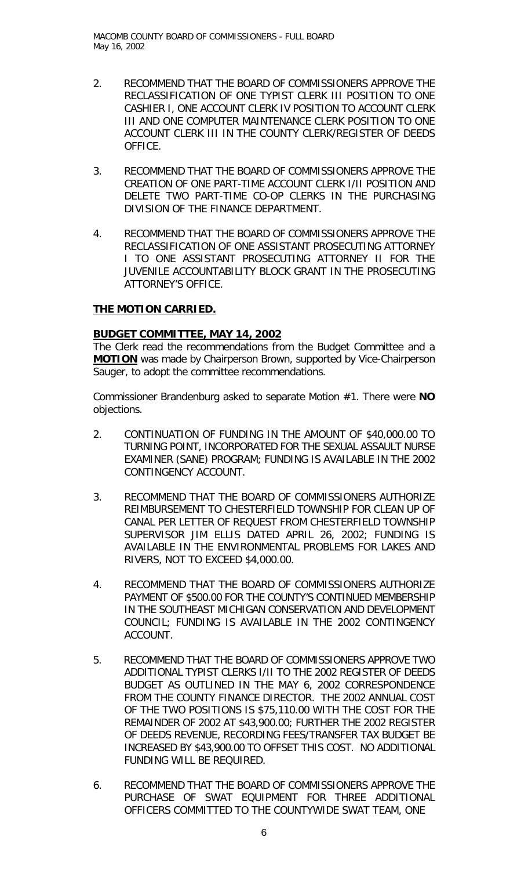- 2. RECOMMEND THAT THE BOARD OF COMMISSIONERS APPROVE THE RECLASSIFICATION OF ONE TYPIST CLERK III POSITION TO ONE CASHIER I, ONE ACCOUNT CLERK IV POSITION TO ACCOUNT CLERK III AND ONE COMPUTER MAINTENANCE CLERK POSITION TO ONE ACCOUNT CLERK III IN THE COUNTY CLERK/REGISTER OF DEEDS OFFICE.
- 3. RECOMMEND THAT THE BOARD OF COMMISSIONERS APPROVE THE CREATION OF ONE PART-TIME ACCOUNT CLERK I/II POSITION AND DELETE TWO PART-TIME CO-OP CLERKS IN THE PURCHASING DIVISION OF THE FINANCE DEPARTMENT.
- 4. RECOMMEND THAT THE BOARD OF COMMISSIONERS APPROVE THE RECLASSIFICATION OF ONE ASSISTANT PROSECUTING ATTORNEY I TO ONE ASSISTANT PROSECUTING ATTORNEY II FOR THE JUVENILE ACCOUNTABILITY BLOCK GRANT IN THE PROSECUTING ATTORNEY'S OFFICE.

# **THE MOTION CARRIED.**

# *BUDGET COMMITTEE, MAY 14, 2002*

The Clerk read the recommendations from the Budget Committee and a **MOTION** was made by Chairperson Brown, supported by Vice-Chairperson Sauger, to adopt the committee recommendations.

Commissioner Brandenburg asked to separate Motion #1. There were **NO** objections.

- 2. CONTINUATION OF FUNDING IN THE AMOUNT OF \$40,000.00 TO TURNING POINT, INCORPORATED FOR THE SEXUAL ASSAULT NURSE EXAMINER (SANE) PROGRAM; FUNDING IS AVAILABLE IN THE 2002 CONTINGENCY ACCOUNT.
- 3. RECOMMEND THAT THE BOARD OF COMMISSIONERS AUTHORIZE REIMBURSEMENT TO CHESTERFIELD TOWNSHIP FOR CLEAN UP OF CANAL PER LETTER OF REQUEST FROM CHESTERFIELD TOWNSHIP SUPERVISOR JIM ELLIS DATED APRIL 26, 2002; FUNDING IS AVAILABLE IN THE ENVIRONMENTAL PROBLEMS FOR LAKES AND RIVERS, NOT TO EXCEED \$4,000.00.
- 4. RECOMMEND THAT THE BOARD OF COMMISSIONERS AUTHORIZE PAYMENT OF \$500.00 FOR THE COUNTY'S CONTINUED MEMBERSHIP IN THE SOUTHEAST MICHIGAN CONSERVATION AND DEVELOPMENT COUNCIL; FUNDING IS AVAILABLE IN THE 2002 CONTINGENCY ACCOUNT.
- 5. RECOMMEND THAT THE BOARD OF COMMISSIONERS APPROVE TWO ADDITIONAL TYPIST CLERKS I/II TO THE 2002 REGISTER OF DEEDS BUDGET AS OUTLINED IN THE MAY 6, 2002 CORRESPONDENCE FROM THE COUNTY FINANCE DIRECTOR. THE 2002 ANNUAL COST OF THE TWO POSITIONS IS \$75,110.00 WITH THE COST FOR THE REMAINDER OF 2002 AT \$43,900.00; FURTHER THE 2002 REGISTER OF DEEDS REVENUE, RECORDING FEES/TRANSFER TAX BUDGET BE INCREASED BY \$43,900.00 TO OFFSET THIS COST. NO ADDITIONAL FUNDING WILL BE REQUIRED.
- 6. RECOMMEND THAT THE BOARD OF COMMISSIONERS APPROVE THE PURCHASE OF SWAT EQUIPMENT FOR THREE ADDITIONAL OFFICERS COMMITTED TO THE COUNTYWIDE SWAT TEAM, ONE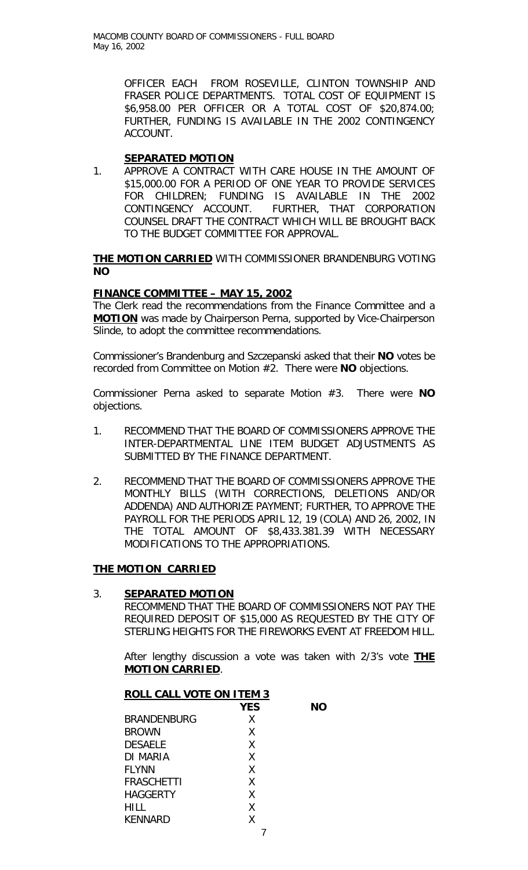> OFFICER EACH FROM ROSEVILLE, CLINTON TOWNSHIP AND FRASER POLICE DEPARTMENTS. TOTAL COST OF EQUIPMENT IS \$6,958.00 PER OFFICER OR A TOTAL COST OF \$20,874.00; FURTHER, FUNDING IS AVAILABLE IN THE 2002 CONTINGENCY ACCOUNT.

### **SEPARATED MOTION**

1. APPROVE A CONTRACT WITH CARE HOUSE IN THE AMOUNT OF \$15,000.00 FOR A PERIOD OF ONE YEAR TO PROVIDE SERVICES FOR CHILDREN; FUNDING IS AVAILABLE IN THE 2002 CONTINGENCY ACCOUNT. FURTHER, THAT CORPORATION COUNSEL DRAFT THE CONTRACT WHICH WILL BE BROUGHT BACK TO THE BUDGET COMMITTEE FOR APPROVAL.

**THE MOTION CARRIED** WITH COMMISSIONER BRANDENBURG VOTING **NO**

### *FINANCE COMMITTEE – MAY 15, 2002*

The Clerk read the recommendations from the Finance Committee and a **MOTION** was made by Chairperson Perna, supported by Vice-Chairperson Slinde, to adopt the committee recommendations.

Commissioner's Brandenburg and Szczepanski asked that their **NO** votes be recorded from Committee on Motion #2. There were **NO** objections.

Commissioner Perna asked to separate Motion #3. There were **NO** objections.

- 1. RECOMMEND THAT THE BOARD OF COMMISSIONERS APPROVE THE INTER-DEPARTMENTAL LINE ITEM BUDGET ADJUSTMENTS AS SUBMITTED BY THE FINANCE DEPARTMENT.
- 2. RECOMMEND THAT THE BOARD OF COMMISSIONERS APPROVE THE MONTHLY BILLS (WITH CORRECTIONS, DELETIONS AND/OR ADDENDA) AND AUTHORIZE PAYMENT; FURTHER, TO APPROVE THE PAYROLL FOR THE PERIODS APRIL 12, 19 (COLA) AND 26, 2002, IN THE TOTAL AMOUNT OF \$8,433.381.39 WITH NECESSARY MODIFICATIONS TO THE APPROPRIATIONS.

### **THE MOTION CARRIED**

#### 3. **SEPARATED MOTION**

RECOMMEND THAT THE BOARD OF COMMISSIONERS NOT PAY THE REQUIRED DEPOSIT OF \$15,000 AS REQUESTED BY THE CITY OF STERLING HEIGHTS FOR THE FIREWORKS EVENT AT FREEDOM HILL.

After lengthy discussion a vote was taken with 2/3's vote **THE MOTION CARRIED**.

| <b>ROLL CALL VOTE ON ITEM 3</b> |            |    |
|---------------------------------|------------|----|
|                                 | <b>YES</b> | NΟ |
| <b>BRANDENBURG</b>              | X          |    |
| <b>BROWN</b>                    | X          |    |
| <b>DESAELE</b>                  | X          |    |
| DI MARIA                        | X          |    |
| <b>FLYNN</b>                    | X          |    |
| <b>FRASCHETTI</b>               | X          |    |
| <b>HAGGERTY</b>                 | X          |    |
| HILL                            | X          |    |
| <b>KENNARD</b>                  | χ          |    |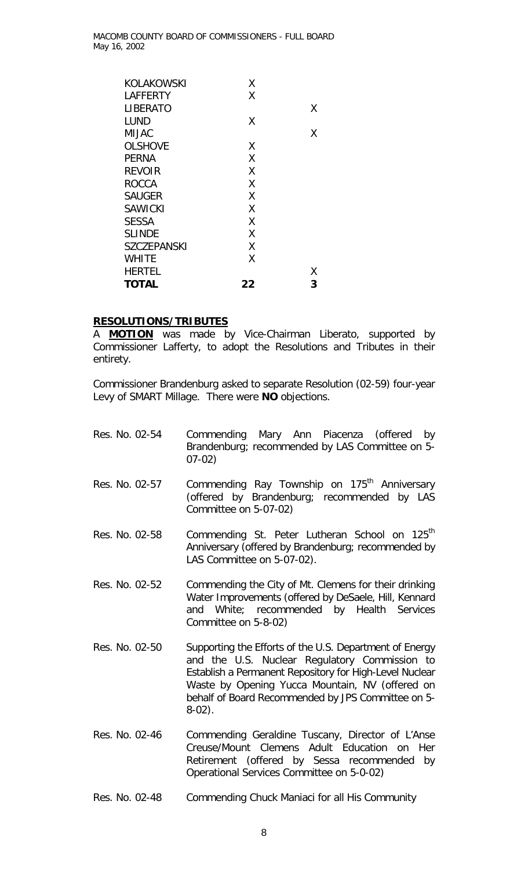| KOLAKOWSKI         | Χ  |   |
|--------------------|----|---|
| LAFFERTY           | Χ  |   |
| <b>LIBERATO</b>    |    | χ |
| <b>LUND</b>        | Χ  |   |
| <b>MIJAC</b>       |    | X |
| <b>OLSHOVE</b>     | Χ  |   |
| <b>PERNA</b>       | X  |   |
| <b>REVOIR</b>      | X  |   |
| <b>ROCCA</b>       | Χ  |   |
| <b>SAUGER</b>      | Χ  |   |
| <b>SAWICKI</b>     | X  |   |
| <b>SESSA</b>       | Χ  |   |
| <b>SLINDE</b>      | X  |   |
| <b>SZCZEPANSKI</b> | χ  |   |
| <b>WHITE</b>       | Χ  |   |
| <b>HERTEL</b>      |    | Χ |
| <b>TOTAL</b>       | 22 | 3 |

#### **RESOLUTIONS/TRIBUTES**

A **MOTION** was made by Vice-Chairman Liberato, supported by Commissioner Lafferty, to adopt the Resolutions and Tributes in their entirety.

Commissioner Brandenburg asked to separate *Resolution (02-59*) four-year Levy of SMART Millage. There were **NO** objections.

- Res. No. 02-54 Commending Mary Ann Piacenza (offered by Brandenburg; recommended by LAS Committee on 5- 07-02) Res. No. 02-57 Commending Ray Township on 175<sup>th</sup> Anniversary (offered by Brandenburg; recommended by LAS Committee on 5-07-02)
- Res. No. 02-58 Commending St. Peter Lutheran School on 125<sup>th</sup> Anniversary (offered by Brandenburg; recommended by LAS Committee on 5-07-02).
- Res. No. 02-52 Commending the City of Mt. Clemens for their drinking Water Improvements (offered by DeSaele, Hill, Kennard and White; recommended by Health Services Committee on 5-8-02)
- Res. No. 02-50 Supporting the Efforts of the U.S. Department of Energy and the U.S. Nuclear Regulatory Commission to Establish a Permanent Repository for High-Level Nuclear Waste by Opening Yucca Mountain, NV (offered on behalf of Board Recommended by JPS Committee on 5- 8-02).
- Res. No. 02-46 Commending Geraldine Tuscany, Director of L'Anse Creuse/Mount Clemens Adult Education on Her Retirement (offered by Sessa recommended by Operational Services Committee on 5-0-02)
- Res. No. 02-48 Commending Chuck Maniaci for all His Community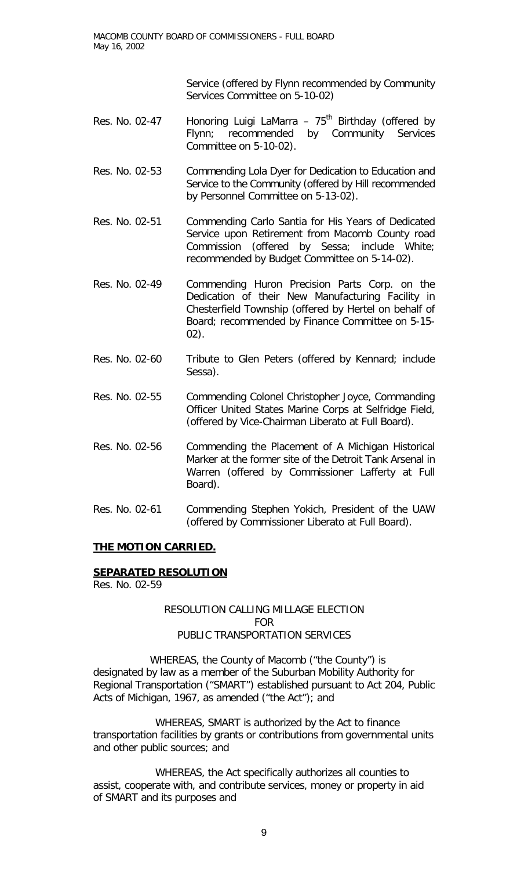Service (offered by Flynn recommended by Community Services Committee on 5-10-02)

- Res. No. 02-47 Honoring Luigi LaMarra  $-75<sup>th</sup>$  Birthday (offered by Flynn; recommended by Community Services Committee on 5-10-02).
- Res. No. 02-53 Commending Lola Dyer for Dedication to Education and Service to the Community (offered by Hill recommended by Personnel Committee on 5-13-02).
- Res. No. 02-51 Commending Carlo Santia for His Years of Dedicated Service upon Retirement from Macomb County road Commission (offered by Sessa; include White; recommended by Budget Committee on 5-14-02).
- Res. No. 02-49 Commending Huron Precision Parts Corp. on the Dedication of their New Manufacturing Facility in Chesterfield Township (offered by Hertel on behalf of Board; recommended by Finance Committee on 5-15- 02).
- Res. No. 02-60 Tribute to Glen Peters (offered by Kennard; include Sessa).
- Res. No. 02-55 Commending Colonel Christopher Joyce, Commanding Officer United States Marine Corps at Selfridge Field, (offered by Vice-Chairman Liberato at Full Board).
- Res. No. 02-56 Commending the Placement of A Michigan Historical Marker at the former site of the Detroit Tank Arsenal in Warren (offered by Commissioner Lafferty at Full Board).
- Res. No. 02-61 Commending Stephen Yokich, President of the UAW (offered by Commissioner Liberato at Full Board).

## **THE MOTION CARRIED.**

## **SEPARATED RESOLUTION**

Res. No. 02-59

## RESOLUTION CALLING MILLAGE ELECTION FOR PUBLIC TRANSPORTATION SERVICES

 WHEREAS, the County of Macomb ("the County") is designated by law as a member of the Suburban Mobility Authority for Regional Transportation ("SMART") established pursuant to Act 204, Public Acts of Michigan, 1967, as amended ("the Act"); and

WHEREAS, SMART is authorized by the Act to finance transportation facilities by grants or contributions from governmental units and other public sources; and

WHEREAS, the Act specifically authorizes all counties to assist, cooperate with, and contribute services, money or property in aid of SMART and its purposes and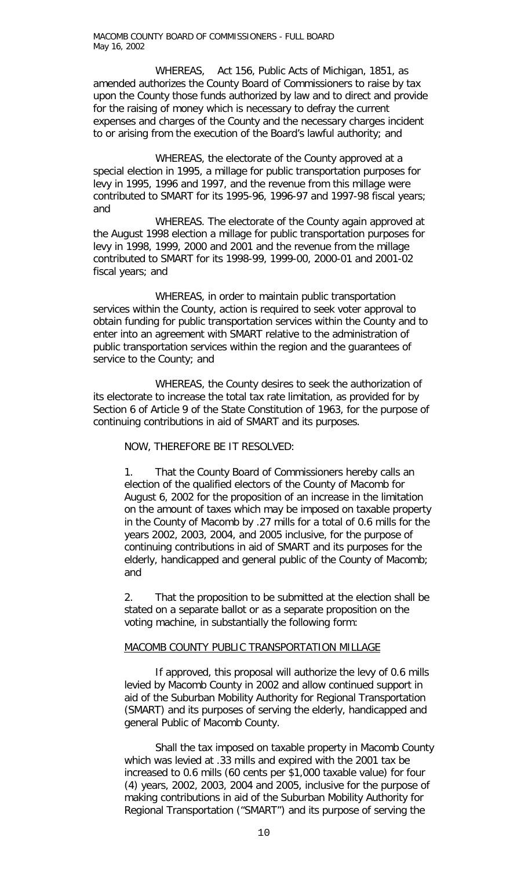WHEREAS, Act 156, Public Acts of Michigan, 1851, as amended authorizes the County Board of Commissioners to raise by tax upon the County those funds authorized by law and to direct and provide for the raising of money which is necessary to defray the current expenses and charges of the County and the necessary charges incident to or arising from the execution of the Board's lawful authority; and

WHEREAS, the electorate of the County approved at a special election in 1995, a millage for public transportation purposes for levy in 1995, 1996 and 1997, and the revenue from this millage were contributed to SMART for its 1995-96, 1996-97 and 1997-98 fiscal years; and

WHEREAS. The electorate of the County again approved at the August 1998 election a millage for public transportation purposes for levy in 1998, 1999, 2000 and 2001 and the revenue from the millage contributed to SMART for its 1998-99, 1999-00, 2000-01 and 2001-02 fiscal years; and

WHEREAS, in order to maintain public transportation services within the County, action is required to seek voter approval to obtain funding for public transportation services within the County and to enter into an agreement with SMART relative to the administration of public transportation services within the region and the guarantees of service to the County; and

WHEREAS, the County desires to seek the authorization of its electorate to increase the total tax rate limitation, as provided for by Section 6 of Article 9 of the State Constitution of 1963, for the purpose of continuing contributions in aid of SMART and its purposes.

NOW, THEREFORE BE IT RESOLVED:

1. That the County Board of Commissioners hereby calls an election of the qualified electors of the County of Macomb for August 6, 2002 for the proposition of an increase in the limitation on the amount of taxes which may be imposed on taxable property in the County of Macomb by .27 mills for a total of 0.6 mills for the years 2002, 2003, 2004, and 2005 inclusive, for the purpose of continuing contributions in aid of SMART and its purposes for the elderly, handicapped and general public of the County of Macomb; and

2. That the proposition to be submitted at the election shall be stated on a separate ballot or as a separate proposition on the voting machine, in substantially the following form:

#### MACOMB COUNTY PUBLIC TRANSPORTATION MILLAGE

If approved, this proposal will authorize the levy of 0.6 mills levied by Macomb County in 2002 and allow continued support in aid of the Suburban Mobility Authority for Regional Transportation (SMART) and its purposes of serving the elderly, handicapped and general Public of Macomb County.

Shall the tax imposed on taxable property in Macomb County which was levied at .33 mills and expired with the 2001 tax be increased to 0.6 mills (60 cents per \$1,000 taxable value) for four (4) years, 2002, 2003, 2004 and 2005, inclusive for the purpose of making contributions in aid of the Suburban Mobility Authority for Regional Transportation ("SMART") and its purpose of serving the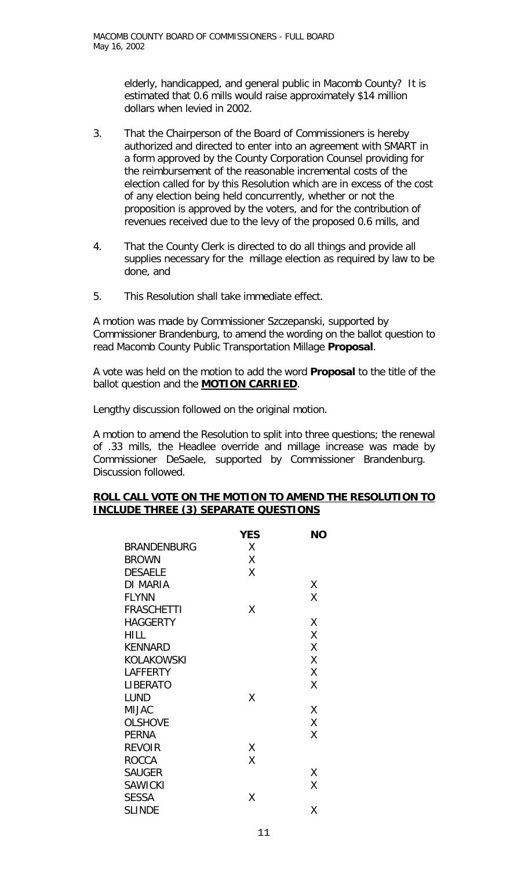elderly, handicapped, and general public in Macomb County? It is estimated that 0.6 mills would raise approximately \$14 million dollars when levied in 2002.

- 3. That the Chairperson of the Board of Commissioners is hereby authorized and directed to enter into an agreement with SMART in a form approved by the County Corporation Counsel providing for the reimbursement of the reasonable incremental costs of the election called for by this Resolution which are in excess of the cost of any election being held concurrently, whether or not the proposition is approved by the voters, and for the contribution of revenues received due to the levy of the proposed 0.6 mills, and
- 4. That the County Clerk is directed to do all things and provide all supplies necessary for the millage election as required by law to be done, and
- 5. This Resolution shall take immediate effect.

A motion was made by Commissioner Szczepanski, supported by Commissioner Brandenburg, to amend the wording on the ballot question to read Macomb County Public Transportation Millage **Proposal**.

A vote was held on the motion to add the word **Proposal** to the title of the ballot question and the **MOTION CARRIED**.

Lengthy discussion followed on the original motion.

A motion to amend the Resolution to split into three questions; the renewal of .33 mills, the Headlee override and millage increase was made by Commissioner DeSaele, supported by Commissioner Brandenburg. Discussion followed.

### **ROLL CALL VOTE ON THE MOTION TO AMEND THE RESOLUTION TO INCLUDE THREE (3) SEPARATE QUESTIONS**

|                    | <b>YES</b> | <b>NO</b> |
|--------------------|------------|-----------|
| <b>BRANDENBURG</b> | Χ          |           |
| <b>BROWN</b>       | X          |           |
| <b>DESAELE</b>     | Χ          |           |
| <b>DI MARIA</b>    |            | Χ         |
| <b>FLYNN</b>       |            | Χ         |
| <b>FRASCHETTI</b>  | Χ          |           |
| <b>HAGGERTY</b>    |            | Χ         |
| <b>HILL</b>        |            | Χ         |
| <b>KENNARD</b>     |            | Χ         |
| <b>KOLAKOWSKI</b>  |            | Χ         |
| LAFFERTY           |            | X         |
| <b>LIBERATO</b>    |            | Χ         |
| <b>LUND</b>        | Χ          |           |
| <b>MIJAC</b>       |            | Χ         |
| <b>OLSHOVE</b>     |            | X         |
| <b>PERNA</b>       |            | Χ         |
| <b>REVOIR</b>      | Χ          |           |
| <b>ROCCA</b>       | Χ          |           |
| <b>SAUGER</b>      |            | χ         |
| <b>SAWICKI</b>     |            | Χ         |
| <b>SESSA</b>       | Χ          |           |
| <b>SLINDE</b>      |            | Χ         |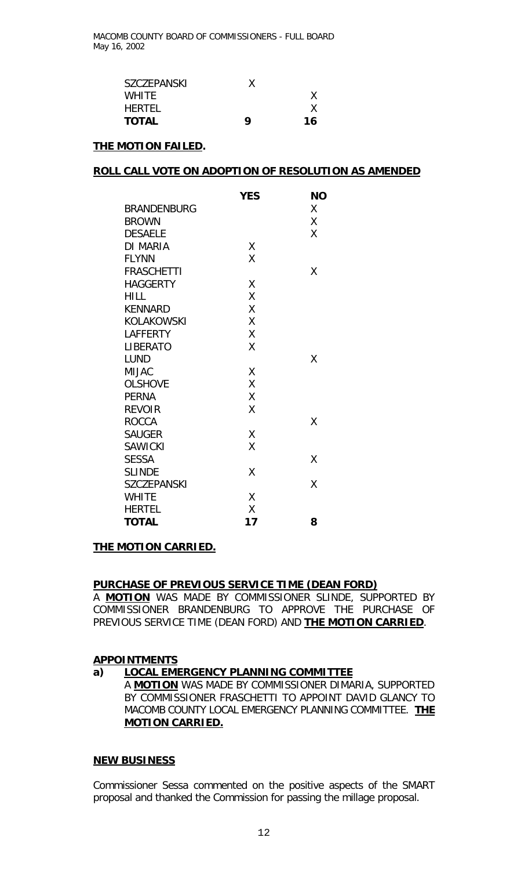| SZCZEPANSKI  |   |    |
|--------------|---|----|
| <b>WHITE</b> |   |    |
| HERTFI       |   |    |
| <b>TOTAL</b> | Q | 16 |

### **THE MOTION FAILED.**

### **ROLL CALL VOTE ON ADOPTION OF RESOLUTION AS AMENDED**

|                    | <b>YES</b> | <b>NO</b> |
|--------------------|------------|-----------|
| <b>BRANDENBURG</b> |            | Χ         |
| <b>BROWN</b>       |            | Χ         |
| <b>DESAELE</b>     |            | X         |
| DI MARIA           | Χ          |           |
| <b>FLYNN</b>       | X          |           |
| <b>FRASCHETTI</b>  |            | Χ         |
| <b>HAGGERTY</b>    | X          |           |
| <b>HILL</b>        | Χ          |           |
| <b>KENNARD</b>     | X          |           |
| <b>KOLAKOWSKI</b>  | Χ          |           |
| LAFFERTY           | Χ          |           |
| <b>LIBERATO</b>    | Χ          |           |
| <b>LUND</b>        |            | X         |
| <b>MIJAC</b>       | Χ          |           |
| <b>OLSHOVE</b>     | χ          |           |
| <b>PERNA</b>       | Χ          |           |
| <b>REVOIR</b>      | X          |           |
| <b>ROCCA</b>       |            | X         |
| <b>SAUGER</b>      | Χ          |           |
| <b>SAWICKI</b>     | Χ          |           |
| <b>SESSA</b>       |            | Χ         |
| <b>SLINDE</b>      | Χ          |           |
| <b>SZCZEPANSKI</b> |            | X         |
| <b>WHITE</b>       | X          |           |
| <b>HERTEL</b>      | Χ          |           |
| <b>TOTAL</b>       | 17         | 8         |

#### **THE MOTION CARRIED.**

#### **PURCHASE OF PREVIOUS SERVICE TIME (DEAN FORD)**

A **MOTION** WAS MADE BY COMMISSIONER SLINDE, SUPPORTED BY COMMISSIONER BRANDENBURG TO APPROVE THE PURCHASE OF PREVIOUS SERVICE TIME (DEAN FORD) AND **THE MOTION CARRIED**.

#### **APPOINTMENTS**

## **a) LOCAL EMERGENCY PLANNING COMMITTEE**

A **MOTION** WAS MADE BY COMMISSIONER DIMARIA, SUPPORTED BY COMMISSIONER FRASCHETTI TO APPOINT DAVID GLANCY TO MACOMB COUNTY LOCAL EMERGENCY PLANNING COMMITTEE. **THE MOTION CARRIED.**

#### **NEW BUSINESS**

Commissioner Sessa commented on the positive aspects of the SMART proposal and thanked the Commission for passing the millage proposal.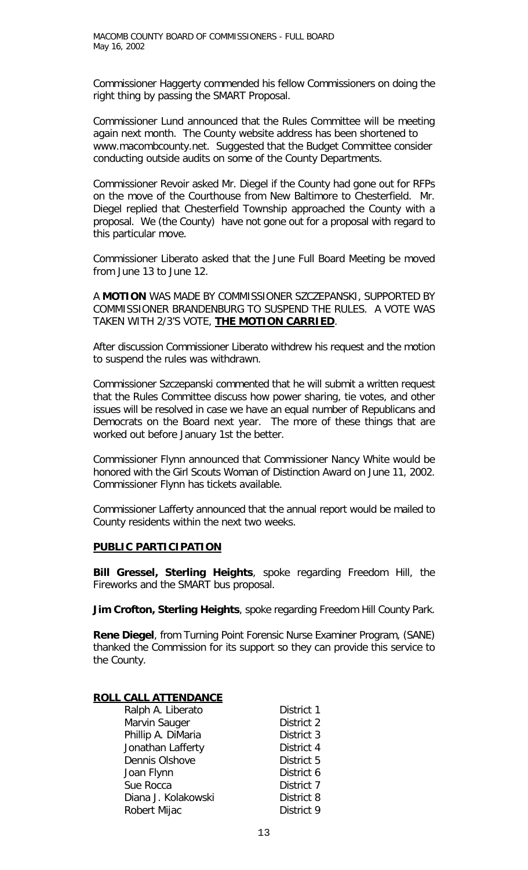Commissioner Haggerty commended his fellow Commissioners on doing the right thing by passing the SMART Proposal.

Commissioner Lund announced that the Rules Committee will be meeting again next month. The County website address has been shortened to www.macombcounty.net. Suggested that the Budget Committee consider conducting outside audits on some of the County Departments.

Commissioner Revoir asked Mr. Diegel if the County had gone out for RFPs on the move of the Courthouse from New Baltimore to Chesterfield. Mr. Diegel replied that Chesterfield Township approached the County with a proposal. We (the County) have not gone out for a proposal with regard to this particular move.

Commissioner Liberato asked that the June Full Board Meeting be moved from June 13 to June 12.

A **MOTION** WAS MADE BY COMMISSIONER SZCZEPANSKI, SUPPORTED BY COMMISSIONER BRANDENBURG TO SUSPEND THE RULES. A VOTE WAS TAKEN WITH 2/3'S VOTE, **THE MOTION CARRIED**.

After discussion Commissioner Liberato withdrew his request and the motion to suspend the rules was withdrawn.

Commissioner Szczepanski commented that he will submit a written request that the Rules Committee discuss how power sharing, tie votes, and other issues will be resolved in case we have an equal number of Republicans and Democrats on the Board next year. The more of these things that are worked out before January 1st the better.

Commissioner Flynn announced that Commissioner Nancy White would be honored with the Girl Scouts Woman of Distinction Award on June 11, 2002. Commissioner Flynn has tickets available.

Commissioner Lafferty announced that the annual report would be mailed to County residents within the next two weeks.

## **PUBLIC PARTICIPATION**

**Bill Gressel, Sterling Heights**, spoke regarding Freedom Hill, the Fireworks and the SMART bus proposal.

**Jim Crofton, Sterling Heights**, spoke regarding Freedom Hill County Park.

**Rene Diegel**, from Turning Point Forensic Nurse Examiner Program, (SANE) thanked the Commission for its support so they can provide this service to the County.

## **ROLL CALL ATTENDANCE**

| District 1 |
|------------|
| District 2 |
| District 3 |
| District 4 |
| District 5 |
| District 6 |
| District 7 |
| District 8 |
| District 9 |
|            |